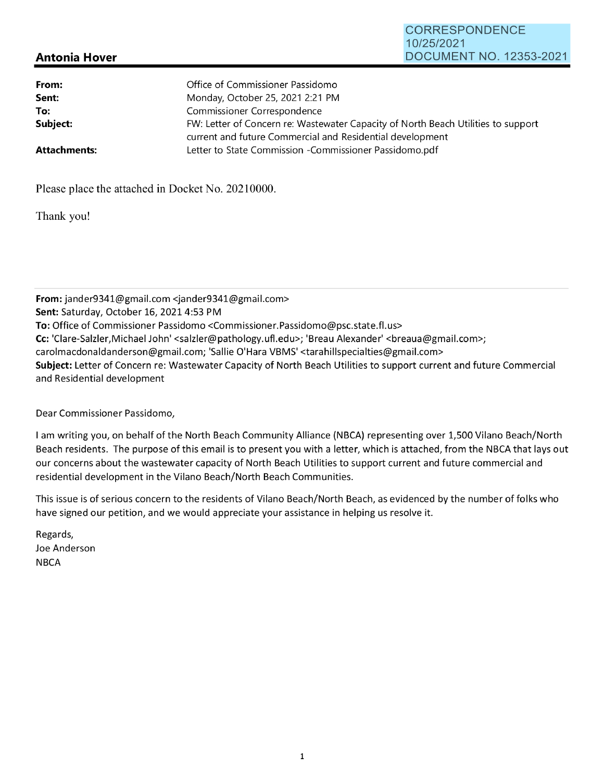## **Antonia Hover**

CORRESPONDENCE

DOCUMENT NO. 12353-2021

10/25/2021

Please place the attached in Docket No. 20210000.

Thank you!

**From:** jander9341@gmail.com <jander9341@gmail.com> **Sent: Saturday, October 16, 2021 4:53 PM To:** Office of Commissioner Passidomo <Commissioner.Passidomo@psc.state.fl.us> **Cc:** 'Clare-Salzler,Michael John' <salzler@pathology.ufl.edu>; 'Breau Alexander' <breaua@gmail.com>; carolmacdonaldanderson@gmail.com; 'Sallie O'Hara VBMS' <tarahillspecialties@gmail.com> **Subject:** Letter of Concern re: Wastewater Capacity of North Beach Utilities to support current and future Commercial and Residential development

Dear Commissioner Passidomo,

I am writing you, on behalf of the North Beach Community Alliance (NBCA) representing over 1,500 Vilano Beach/North Beach residents. The purpose of this email is to present you with a letter, which is attached, from the NBCA that lays out our concerns about the wastewater capacity of North Beach Utilities to support current and future commercial and residential development in the Vilano Beach/North Beach Communities.

This issue is of serious concern to the residents of Vilano Beach/North Beach, as evidenced by the number of folks who have signed our petition, and we would appreciate your assistance in helping us resolve it.

Regards, Joe Anderson **NBCA**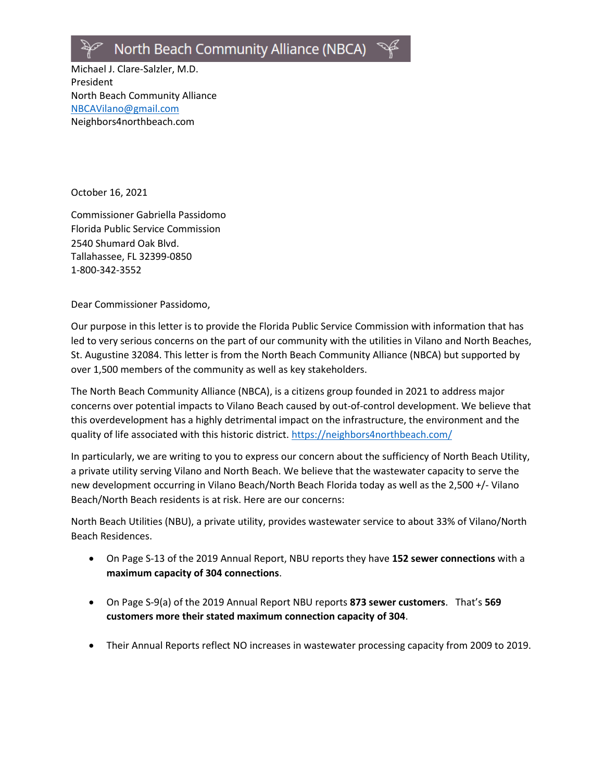# North Beach Community Alliance (NBCA)

Michael J. Clare-Salzler, M.D. President North Beach Community Alliance [NBCAVilano@gmail.com](mailto:NBCAVilano@gmail.com) Neighbors4northbeach.com

October 16, 2021

Commissioner Gabriella Passidomo Florida Public Service Commission 2540 Shumard Oak Blvd. Tallahassee, FL 32399-0850 1-800-342-3552

Dear Commissioner Passidomo,

Our purpose in this letter is to provide the Florida Public Service Commission with information that has led to very serious concerns on the part of our community with the utilities in Vilano and North Beaches, St. Augustine 32084. This letter is from the North Beach Community Alliance (NBCA) but supported by over 1,500 members of the community as well as key stakeholders.

The North Beach Community Alliance (NBCA), is a citizens group founded in 2021 to address major concerns over potential impacts to Vilano Beach caused by out-of-control development. We believe that this overdevelopment has a highly detrimental impact on the infrastructure, the environment and the quality of life associated with this historic district. <https://neighbors4northbeach.com/>

In particularly, we are writing to you to express our concern about the sufficiency of North Beach Utility, a private utility serving Vilano and North Beach. We believe that the wastewater capacity to serve the new development occurring in Vilano Beach/North Beach Florida today as well as the 2,500 +/- Vilano Beach/North Beach residents is at risk. Here are our concerns:

North Beach Utilities (NBU), a private utility, provides wastewater service to about 33% of Vilano/North Beach Residences.

- On Page S-13 of the 2019 Annual Report, NBU reports they have **152 sewer connections** with a **maximum capacity of 304 connections**.
- On Page S-9(a) of the 2019 Annual Report NBU reports **873 sewer customers**. That's **569 customers more their stated maximum connection capacity of 304**.
- Their Annual Reports reflect NO increases in wastewater processing capacity from 2009 to 2019.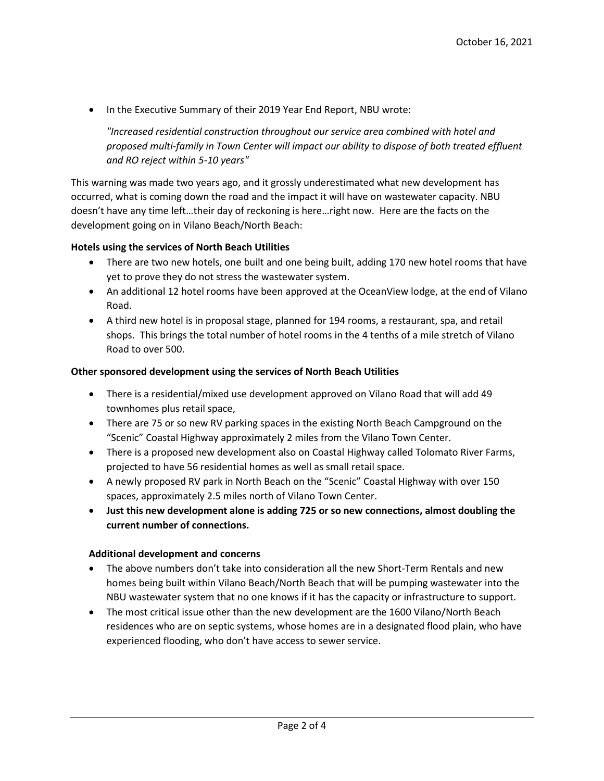• In the Executive Summary of their 2019 Year End Report, NBU wrote:

*"Increased residential construction throughout our service area combined with hotel and proposed multi-family in Town Center will impact our ability to dispose of both treated effluent and RO reject within 5-10 years"*

This warning was made two years ago, and it grossly underestimated what new development has occurred, what is coming down the road and the impact it will have on wastewater capacity. NBU doesn't have any time left…their day of reckoning is here…right now.Here are the facts on the development going on in Vilano Beach/North Beach:

#### **Hotels using the services of North Beach Utilities**

- There are two new hotels, one built and one being built, adding 170 new hotel rooms that have yet to prove they do not stress the wastewater system.
- An additional 12 hotel rooms have been approved at the OceanView lodge, at the end of Vilano Road.
- A third new hotel is in proposal stage, planned for 194 rooms, a restaurant, spa, and retail shops. This brings the total number of hotel rooms in the 4 tenths of a mile stretch of Vilano Road to over 500.

#### **Other sponsored development using the services of North Beach Utilities**

- There is a residential/mixed use development approved on Vilano Road that will add 49 townhomes plus retail space,
- There are 75 or so new RV parking spaces in the existing North Beach Campground on the "Scenic" Coastal Highway approximately 2 miles from the Vilano Town Center.
- There is a proposed new development also on Coastal Highway called Tolomato River Farms, projected to have 56 residential homes as well as small retail space.
- A newly proposed RV park in North Beach on the "Scenic" Coastal Highway with over 150 spaces, approximately 2.5 miles north of Vilano Town Center.
- **Just this new development alone is adding 725 or so new connections, almost doubling the current number of connections.**

#### **Additional development and concerns**

- The above numbers don't take into consideration all the new Short-Term Rentals and new homes being built within Vilano Beach/North Beach that will be pumping wastewater into the NBU wastewater system that no one knows if it has the capacity or infrastructure to support.
- The most critical issue other than the new development are the 1600 Vilano/North Beach residences who are on septic systems, whose homes are in a designated flood plain, who have experienced flooding, who don't have access to sewer service.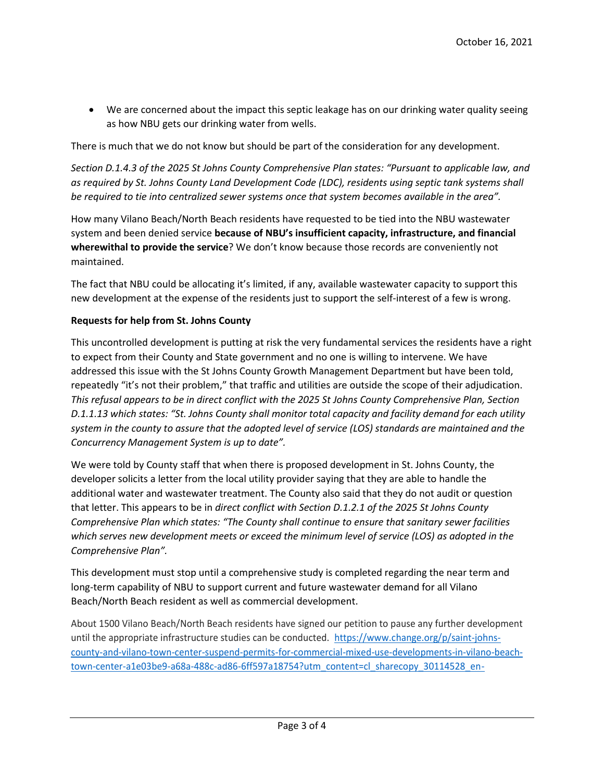• We are concerned about the impact this septic leakage has on our drinking water quality seeing as how NBU gets our drinking water from wells.

There is much that we do not know but should be part of the consideration for any development.

*Section D.1.4.3 of the 2025 St Johns County Comprehensive Plan states: "Pursuant to applicable law, and as required by St. Johns County Land Development Code (LDC), residents using septic tank systems shall be required to tie into centralized sewer systems once that system becomes available in the area".*

How many Vilano Beach/North Beach residents have requested to be tied into the NBU wastewater system and been denied service **because of NBU's insufficient capacity, infrastructure, and financial wherewithal to provide the service**? We don't know because those records are conveniently not maintained.

The fact that NBU could be allocating it's limited, if any, available wastewater capacity to support this new development at the expense of the residents just to support the self-interest of a few is wrong.

#### **Requests for help from St. Johns County**

This uncontrolled development is putting at risk the very fundamental services the residents have a right to expect from their County and State government and no one is willing to intervene. We have addressed this issue with the St Johns County Growth Management Department but have been told, repeatedly "it's not their problem," that traffic and utilities are outside the scope of their adjudication. *This refusal appears to be in direct conflict with the 2025 St Johns County Comprehensive Plan, Section D.1.1.13 which states: "St. Johns County shall monitor total capacity and facility demand for each utility system in the county to assure that the adopted level of service (LOS) standards are maintained and the Concurrency Management System is up to date".*

We were told by County staff that when there is proposed development in St. Johns County, the developer solicits a letter from the local utility provider saying that they are able to handle the additional water and wastewater treatment. The County also said that they do not audit or question that letter. This appears to be in *direct conflict with Section D.1.2.1 of the 2025 St Johns County Comprehensive Plan which states: "The County shall continue to ensure that sanitary sewer facilities which serves new development meets or exceed the minimum level of service (LOS) as adopted in the Comprehensive Plan".*

This development must stop until a comprehensive study is completed regarding the near term and long-term capability of NBU to support current and future wastewater demand for all Vilano Beach/North Beach resident as well as commercial development.

About 1500 Vilano Beach/North Beach residents have signed our petition to pause any further development until the appropriate infrastructure studies can be conducted. [https://www.change.org/p/saint-johns](https://www.change.org/p/saint-johns-county-and-vilano-town-center-suspend-permits-for-commercial-mixed-use-developments-in-vilano-beach-town-center-a1e03be9-a68a-488c-ad86-6ff597a18754?utm_content=cl_sharecopy_30114528_en-US%3A7&recruiter=641693453&utm_source=share_petition&utm_medium=copylink&utm_campaign=share_petition)[county-and-vilano-town-center-suspend-permits-for-commercial-mixed-use-developments-in-vilano-beach](https://www.change.org/p/saint-johns-county-and-vilano-town-center-suspend-permits-for-commercial-mixed-use-developments-in-vilano-beach-town-center-a1e03be9-a68a-488c-ad86-6ff597a18754?utm_content=cl_sharecopy_30114528_en-US%3A7&recruiter=641693453&utm_source=share_petition&utm_medium=copylink&utm_campaign=share_petition)[town-center-a1e03be9-a68a-488c-ad86-6ff597a18754?utm\\_content=cl\\_sharecopy\\_30114528\\_en-](https://www.change.org/p/saint-johns-county-and-vilano-town-center-suspend-permits-for-commercial-mixed-use-developments-in-vilano-beach-town-center-a1e03be9-a68a-488c-ad86-6ff597a18754?utm_content=cl_sharecopy_30114528_en-US%3A7&recruiter=641693453&utm_source=share_petition&utm_medium=copylink&utm_campaign=share_petition)